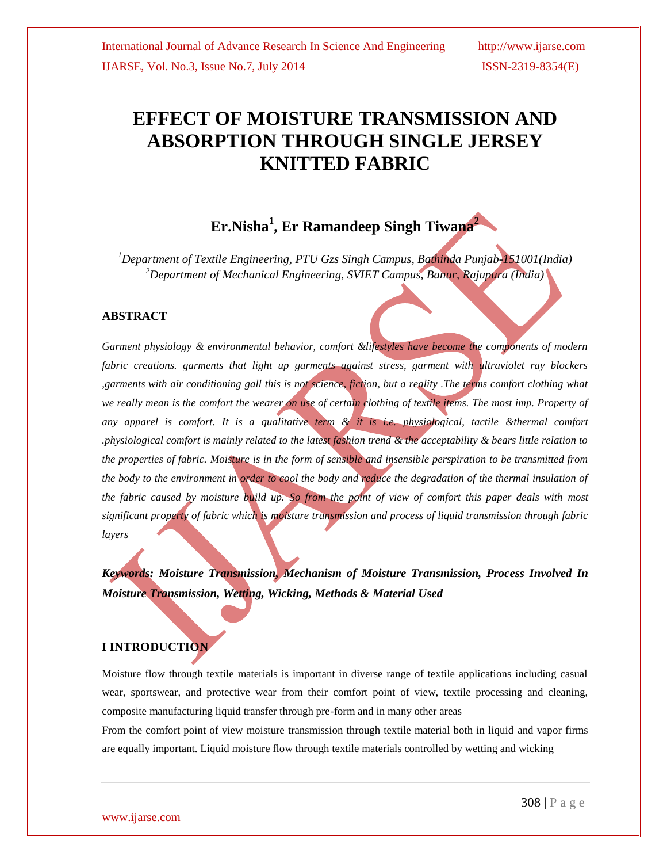# **EFFECT OF MOISTURE TRANSMISSION AND ABSORPTION THROUGH SINGLE JERSEY KNITTED FABRIC**

## **Er.Nisha<sup>1</sup> , Er Ramandeep Singh Tiwana<sup>2</sup>**

*<sup>1</sup>Department of Textile Engineering, PTU Gzs Singh Campus, Bathinda Punjab-151001(India) <sup>2</sup>Department of Mechanical Engineering, SVIET Campus, Banur, Rajupura (India)*

### **ABSTRACT**

*Garment physiology & environmental behavior, comfort &lifestyles have become the components of modern fabric creations. garments that light up garments against stress, garment with ultraviolet ray blockers ,garments with air conditioning gall this is not science, fiction, but a reality .The terms comfort clothing what*  we really mean is the comfort the wearer on use of certain clothing of textile items. The most imp. Property of *any apparel is comfort. It is a qualitative term & it is i.e. physiological, tactile &thermal comfort .physiological comfort is mainly related to the latest fashion trend & the acceptability & bears little relation to the properties of fabric. Moisture is in the form of sensible and insensible perspiration to be transmitted from the body to the environment in order to cool the body and reduce the degradation of the thermal insulation of the fabric caused by moisture build up. So from the point of view of comfort this paper deals with most significant property of fabric which is moisture transmission and process of liquid transmission through fabric layers*

*Keywords: Moisture Transmission, Mechanism of Moisture Transmission, Process Involved In Moisture Transmission, Wetting, Wicking, Methods & Material Used* 

## **I INTRODUCTION**

Moisture flow through textile materials is important in diverse range of textile applications including casual wear, sportswear, and protective wear from their comfort point of view, textile processing and cleaning, composite manufacturing liquid transfer through pre-form and in many other areas

From the comfort point of view moisture transmission through textile material both in liquid and vapor firms are equally important. Liquid moisture flow through textile materials controlled by wetting and wicking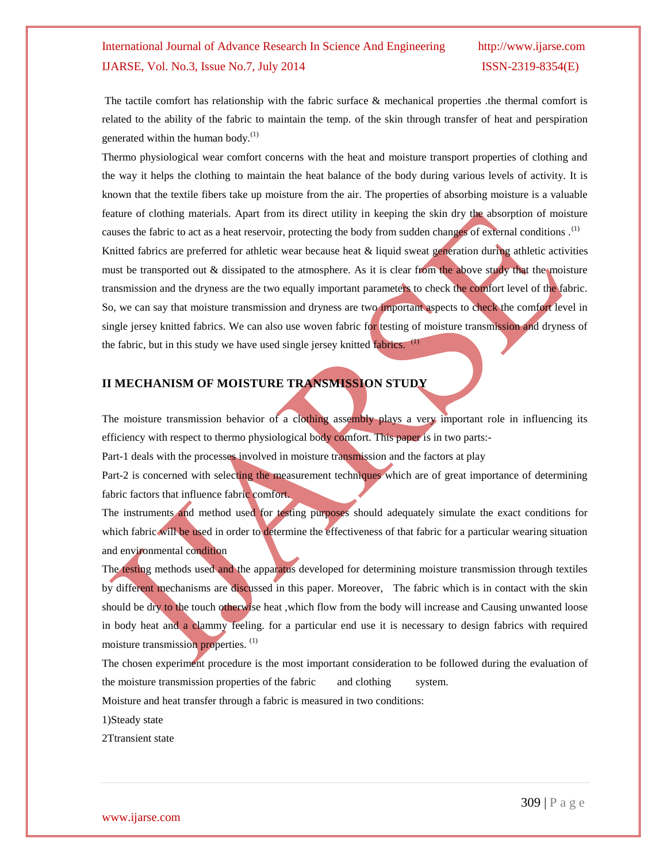The tactile comfort has relationship with the fabric surface & mechanical properties .the thermal comfort is related to the ability of the fabric to maintain the temp. of the skin through transfer of heat and perspiration generated within the human body. $^{(1)}$ 

Thermo physiological wear comfort concerns with the heat and moisture transport properties of clothing and the way it helps the clothing to maintain the heat balance of the body during various levels of activity. It is known that the textile fibers take up moisture from the air. The properties of absorbing moisture is a valuable feature of clothing materials. Apart from its direct utility in keeping the skin dry the absorption of moisture causes the fabric to act as a heat reservoir, protecting the body from sudden changes of external conditions.<sup>(1)</sup> Knitted fabrics are preferred for athletic wear because heat & liquid sweat generation during athletic activities must be transported out & dissipated to the atmosphere. As it is clear from the above study that the moisture transmission and the dryness are the two equally important parameters to check the comfort level of the fabric. So, we can say that moisture transmission and dryness are two important aspects to check the comfort level in single jersey knitted fabrics. We can also use woven fabric for testing of moisture transmission and dryness of the fabric, but in this study we have used single jersey knitted fabrics.  $(1)$ 

## **II MECHANISM OF MOISTURE TRANSMISSION STUDY**

The moisture transmission behavior of a clothing assembly plays a very important role in influencing its efficiency with respect to thermo physiological body comfort. This paper is in two parts:-

Part-1 deals with the processes involved in moisture transmission and the factors at play

Part-2 is concerned with selecting the measurement techniques which are of great importance of determining fabric factors that influence fabric comfort.

The instruments and method used for testing purposes should adequately simulate the exact conditions for which fabric will be used in order to determine the effectiveness of that fabric for a particular wearing situation and environmental condition

The testing methods used and the apparatus developed for determining moisture transmission through textiles by different mechanisms are discussed in this paper. Moreover, The fabric which is in contact with the skin should be dry to the touch otherwise heat ,which flow from the body will increase and Causing unwanted loose in body heat and a clammy feeling. for a particular end use it is necessary to design fabrics with required moisture transmission properties.<sup>(1)</sup>

The chosen experiment procedure is the most important consideration to be followed during the evaluation of the moisture transmission properties of the fabric and clothing system.

Moisture and heat transfer through a fabric is measured in two conditions:

1)Steady state

2Ttransient state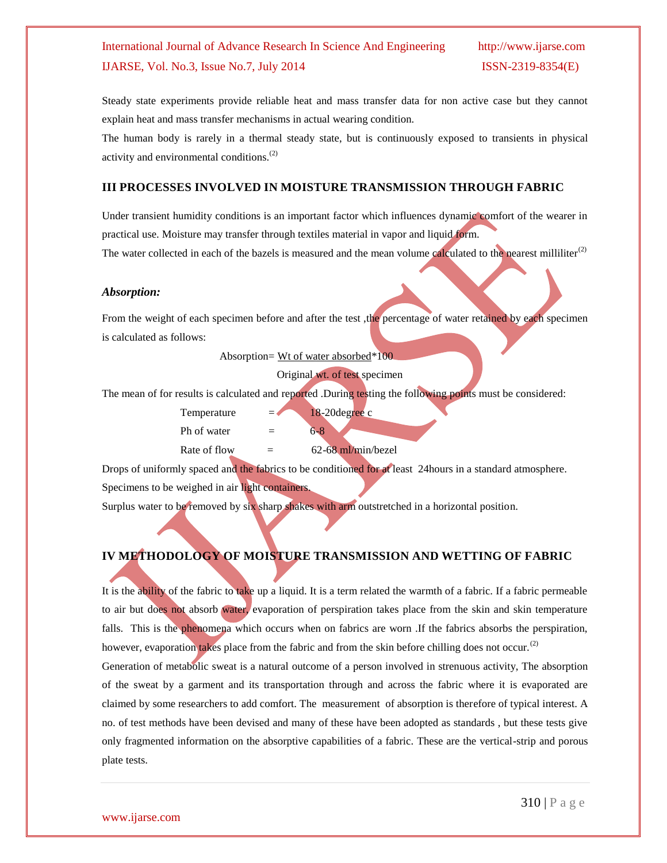Steady state experiments provide reliable heat and mass transfer data for non active case but they cannot explain heat and mass transfer mechanisms in actual wearing condition.

The human body is rarely in a thermal steady state, but is continuously exposed to transients in physical activity and environmental conditions.(2)

#### **III PROCESSES INVOLVED IN MOISTURE TRANSMISSION THROUGH FABRIC**

Under transient humidity conditions is an important factor which influences dynamic comfort of the wearer in practical use. Moisture may transfer through textiles material in vapor and liquid form.

The water collected in each of the bazels is measured and the mean volume calculated to the nearest milliliter $^{(2)}$ 

#### *Absorption:*

From the weight of each specimen before and after the test , the percentage of water retained by each specimen is calculated as follows:

Absorption= Wt of water absorbed\*100

Original wt. of test specimen

The mean of for results is calculated and reported .During testing the following points must be considered:

- Temperature  $= 18-20$ degree c
- Ph of water  $= 6-8$
- Rate of flow  $=$  62-68 ml/min/bezel

Drops of uniformly spaced and the fabrics to be conditioned for at least 24hours in a standard atmosphere. Specimens to be weighed in air light containers.

Surplus water to be removed by six sharp shakes with arm outstretched in a horizontal position.

## **IV METHODOLOGY OF MOISTURE TRANSMISSION AND WETTING OF FABRIC**

It is the ability of the fabric to take up a liquid. It is a term related the warmth of a fabric. If a fabric permeable to air but does not absorb water, evaporation of perspiration takes place from the skin and skin temperature falls. This is the phenomena which occurs when on fabrics are worn .If the fabrics absorbs the perspiration, however, evaporation takes place from the fabric and from the skin before chilling does not occur.<sup>(2)</sup>

Generation of metabolic sweat is a natural outcome of a person involved in strenuous activity, The absorption of the sweat by a garment and its transportation through and across the fabric where it is evaporated are claimed by some researchers to add comfort. The measurement of absorption is therefore of typical interest. A no. of test methods have been devised and many of these have been adopted as standards , but these tests give only fragmented information on the absorptive capabilities of a fabric. These are the vertical-strip and porous plate tests.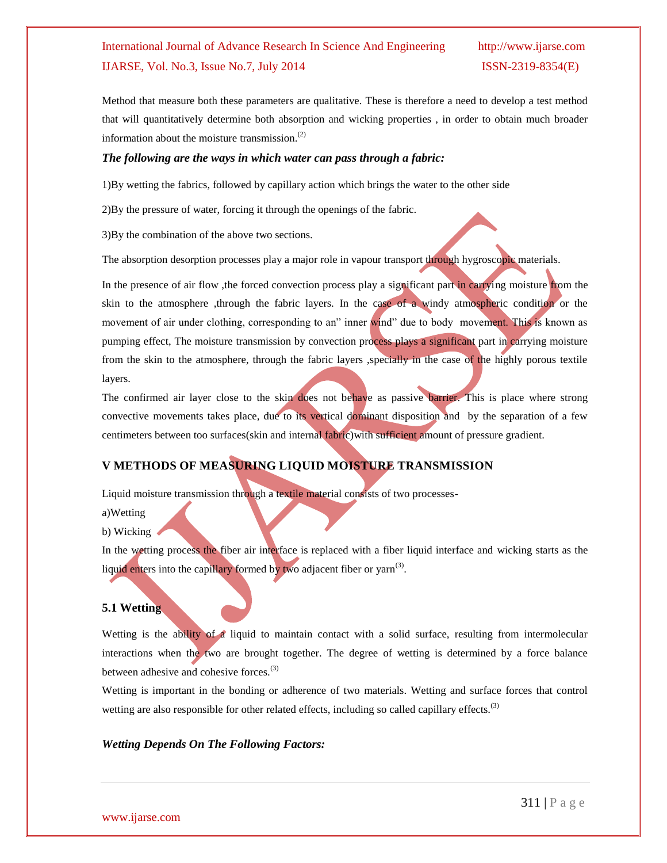Method that measure both these parameters are qualitative. These is therefore a need to develop a test method that will quantitatively determine both absorption and wicking properties , in order to obtain much broader information about the moisture transmission.(2)

#### *The following are the ways in which water can pass through a fabric:*

1)By wetting the fabrics, followed by capillary action which brings the water to the other side

2)By the pressure of water, forcing it through the openings of the fabric.

3)By the combination of the above two sections.

The absorption desorption processes play a major role in vapour transport through hygroscopic materials.

In the presence of air flow, the forced convection process play a significant part in carrying moisture from the skin to the atmosphere ,through the fabric layers. In the case of a windy atmospheric condition or the movement of air under clothing, corresponding to an" inner wind" due to body movement. This is known as pumping effect, The moisture transmission by convection process plays a significant part in carrying moisture from the skin to the atmosphere, through the fabric layers ,specially in the case of the highly porous textile layers.

The confirmed air layer close to the skin does not behave as passive barrier. This is place where strong convective movements takes place, due to its vertical dominant disposition and by the separation of a few centimeters between too surfaces(skin and internal fabric)with sufficient amount of pressure gradient.

## **V METHODS OF MEASURING LIQUID MOISTURE TRANSMISSION**

Liquid moisture transmission through a textile material consists of two processes-

a)Wetting

b) Wicking

In the wetting process the fiber air interface is replaced with a fiber liquid interface and wicking starts as the liquid enters into the capillary formed by two adjacent fiber or yarn<sup>(3)</sup>.

#### **5.1 Wetting**

Wetting is the ability of a liquid to maintain contact with a solid surface, resulting from intermolecular interactions when the two are brought together. The degree of wetting is determined by a force balance between adhesive and cohesive forces.<sup>(3)</sup>

Wetting is important in the bonding or adherence of two materials. Wetting and surface forces that control wetting are also responsible for other related effects, including so called capillary effects.<sup>(3)</sup>

#### *Wetting Depends On The Following Factors:*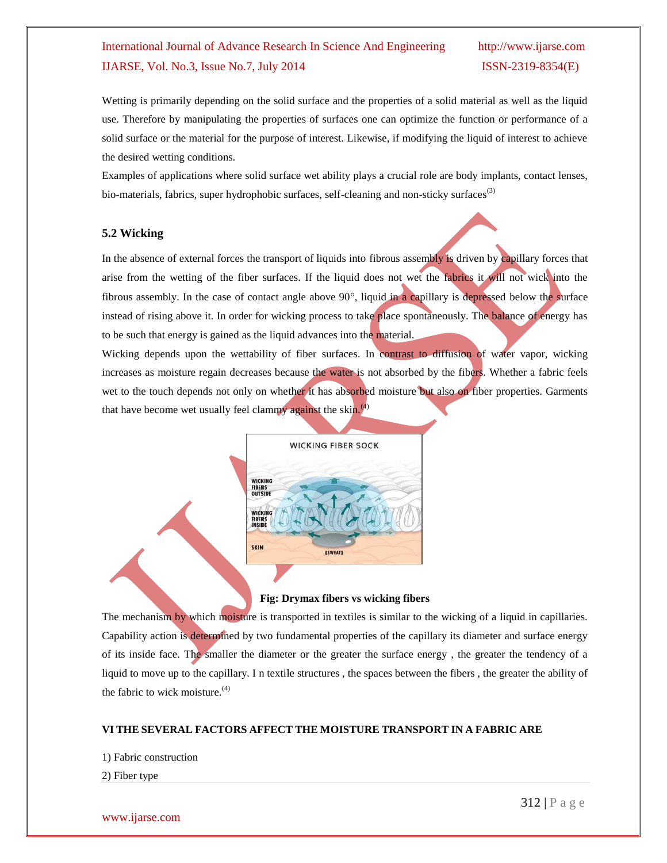Wetting is primarily depending on the solid surface and the properties of a solid material as well as the liquid use. Therefore by manipulating the properties of surfaces one can optimize the function or performance of a solid surface or the material for the purpose of interest. Likewise, if modifying the liquid of interest to achieve the desired wetting conditions.

Examples of applications where solid surface wet ability plays a crucial role are body implants, contact lenses, bio-materials, fabrics, super hydrophobic surfaces, self-cleaning and non-sticky surfaces<sup>(3)</sup>

#### **5.2 Wicking**

In the absence of external forces the transport of liquids into fibrous assembly is driven by capillary forces that arise from the wetting of the fiber surfaces. If the liquid does not wet the fabrics it will not wick into the fibrous assembly. In the case of contact angle above  $90^\circ$ , liquid in a capillary is depressed below the surface instead of rising above it. In order for wicking process to take place spontaneously. The balance of energy has to be such that energy is gained as the liquid advances into the material.

Wicking depends upon the wettability of fiber surfaces. In contrast to diffusion of water vapor, wicking increases as moisture regain decreases because the water is not absorbed by the fibers. Whether a fabric feels wet to the touch depends not only on whether it has absorbed moisture but also on fiber properties. Garments that have become wet usually feel clammy against the skin. $(4)$ 



#### **Fig: Drymax fibers vs wicking fibers**

The mechanism by which moisture is transported in textiles is similar to the wicking of a liquid in capillaries. Capability action is determined by two fundamental properties of the capillary its diameter and surface energy of its inside face. The smaller the diameter or the greater the surface energy , the greater the tendency of a liquid to move up to the capillary. I n textile structures , the spaces between the fibers , the greater the ability of the fabric to wick moisture. $(4)$ 

#### **VI THE SEVERAL FACTORS AFFECT THE MOISTURE TRANSPORT IN A FABRIC ARE**

1) Fabric construction

2) Fiber type

#### www.ijarse.com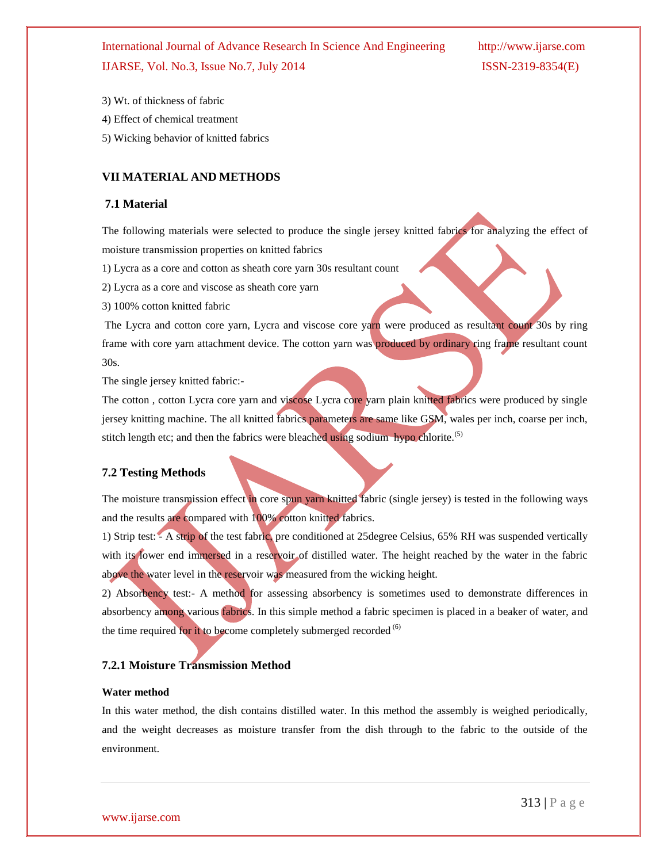- 3) Wt. of thickness of fabric
- 4) Effect of chemical treatment
- 5) Wicking behavior of knitted fabrics

### **VII MATERIAL AND METHODS**

#### **7.1 Material**

The following materials were selected to produce the single jersey knitted fabrics for analyzing the effect of moisture transmission properties on knitted fabrics

- 1) Lycra as a core and cotton as sheath core yarn 30s resultant count
- 2) Lycra as a core and viscose as sheath core yarn
- 3) 100% cotton knitted fabric

The Lycra and cotton core yarn, Lycra and viscose core yarn were produced as resultant count 30s by ring frame with core yarn attachment device. The cotton yarn was produced by ordinary ring frame resultant count 30s.

The single jersey knitted fabric:-

The cotton , cotton Lycra core yarn and viscose Lycra core yarn plain knitted fabrics were produced by single jersey knitting machine. The all knitted fabrics parameters are same like GSM, wales per inch, coarse per inch, stitch length etc; and then the fabrics were bleached using sodium hypo chlorite.<sup>(5)</sup>

#### **7.2 Testing Methods**

The moisture transmission effect in core spun yarn knitted fabric (single jersey) is tested in the following ways and the results are compared with 100% cotton knitted fabrics.

1) Strip test: - A strip of the test fabric, pre conditioned at 25degree Celsius, 65% RH was suspended vertically with its lower end immersed in a reservoir of distilled water. The height reached by the water in the fabric above the water level in the reservoir was measured from the wicking height.

2) Absorbency test:- A method for assessing absorbency is sometimes used to demonstrate differences in absorbency among various fabrics. In this simple method a fabric specimen is placed in a beaker of water, and the time required for it to become completely submerged recorded  $(6)$ 

### **7.2.1 Moisture Transmission Method**

#### **Water method**

In this water method, the dish contains distilled water. In this method the assembly is weighed periodically, and the weight decreases as moisture transfer from the dish through to the fabric to the outside of the environment.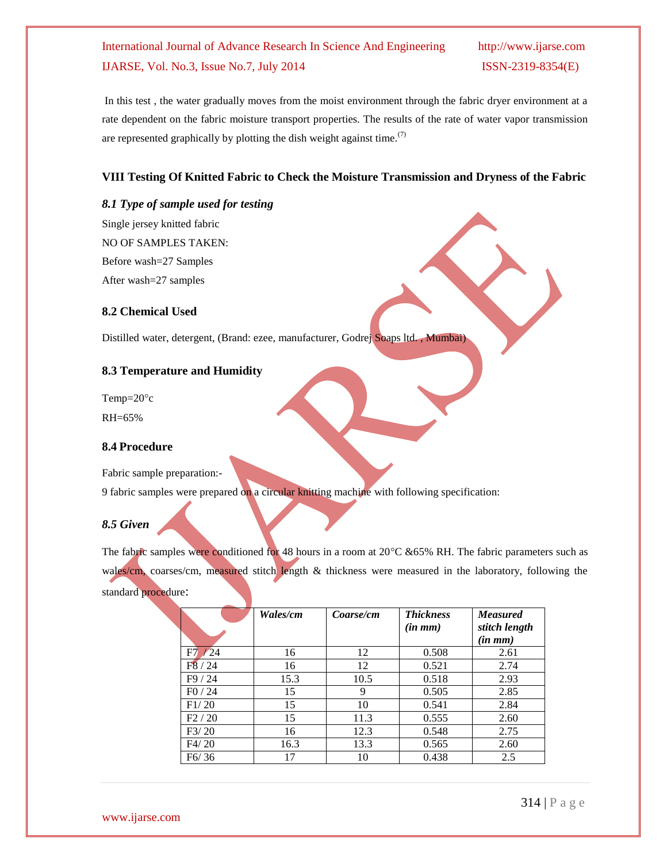In this test , the water gradually moves from the moist environment through the fabric dryer environment at a rate dependent on the fabric moisture transport properties. The results of the rate of water vapor transmission are represented graphically by plotting the dish weight against time.<sup> $(7)$ </sup>

## **VIII Testing Of Knitted Fabric to Check the Moisture Transmission and Dryness of the Fabric**

#### *8.1 Type of sample used for testing*

Single jersey knitted fabric NO OF SAMPLES TAKEN: Before wash=27 Samples After wash=27 samples

## **8.2 Chemical Used**

Distilled water, detergent, (Brand: ezee, manufacturer, Godrej Soaps ltd. , Mumbai)

### **8.3 Temperature and Humidity**

Temp= $20^{\circ}c$ RH=65%

### **8.4 Procedure**

Fabric sample preparation:-

9 fabric samples were prepared on a circular knitting machine with following specification:

### *8.5 Given*

The fabric samples were conditioned for 48 hours in a room at  $20^{\circ}C \& 65\%$  RH. The fabric parameters such as wales/cm, coarses/cm, measured stitch length & thickness were measured in the laboratory, following the standard procedure:

|            | Wales/cm | Coarse/cm | <b>Thickness</b><br>$(in \, mm)$ | <b>Measured</b><br>stitch length<br>$(in \, mm)$ |
|------------|----------|-----------|----------------------------------|--------------------------------------------------|
| F7<br>1/24 | 16       | 12        | 0.508                            | 2.61                                             |
| F8/24      | 16       | 12        | 0.521                            | 2.74                                             |
| F9 / 24    | 15.3     | 10.5      | 0.518                            | 2.93                                             |
| F0/24      | 15       | 9         | 0.505                            | 2.85                                             |
| F1/20      | 15       | 10        | 0.541                            | 2.84                                             |
| F2/20      | 15       | 11.3      | 0.555                            | 2.60                                             |
| F3/20      | 16       | 12.3      | 0.548                            | 2.75                                             |
| F4/20      | 16.3     | 13.3      | 0.565                            | 2.60                                             |
| F6/36      | 17       | 10        | 0.438                            | 2.5                                              |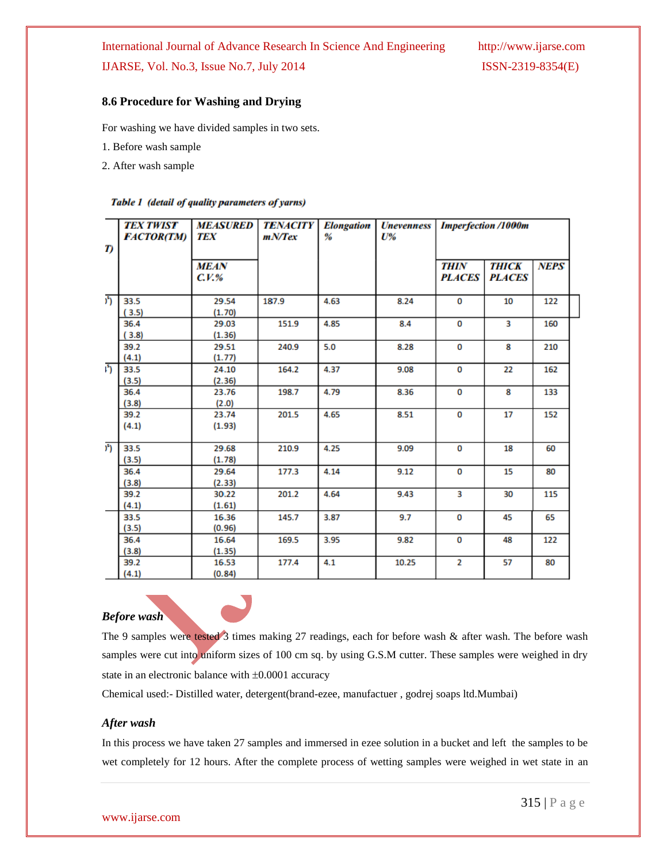## **8.6 Procedure for Washing and Drying**

For washing we have divided samples in two sets.

1. Before wash sample

2. After wash sample

#### Table 1 (detail of quality parameters of yarns)

| T)               | <b>TEX TWIST</b><br><b>FACTOR(TM)</b> | <b>MEASURED</b><br><b>TEX</b> | <b>TENACITY</b><br>mNTex | <b>Elongation</b><br>% | <b><i><u>Unevenness</u></i></b><br>$U\%$ | <b>Imperfection /1000m</b> |                               |             |  |
|------------------|---------------------------------------|-------------------------------|--------------------------|------------------------|------------------------------------------|----------------------------|-------------------------------|-------------|--|
|                  |                                       | <b>MEAN</b><br>$C.V.$ %       |                          |                        |                                          | THIN<br><b>PLACES</b>      | <b>THICK</b><br><b>PLACES</b> | <b>NEPS</b> |  |
| ) <sup>5</sup> ) | 33.5                                  | 29.54                         | 187.9                    | 4.63                   | 8.24                                     | 0                          | 10                            | 122         |  |
|                  | (3.5)                                 | (1.70)                        |                          |                        |                                          |                            |                               |             |  |
|                  | 36.4                                  | 29.03                         | 151.9                    | 4.85                   | 8.4                                      | 0                          | 3                             | 160         |  |
|                  | (3.8)                                 | (1.36)                        |                          |                        |                                          |                            |                               |             |  |
|                  | 39.2                                  | 29.51                         | 240.9                    | 5.0                    | 8.28                                     | 0                          | 8                             | 210         |  |
|                  | (4.1)                                 | (1.77)                        |                          |                        |                                          |                            |                               |             |  |
| E)               | 33.5                                  | 24.10                         | 164.2                    | 4.37                   | 9.08                                     | 0                          | 22                            | 162         |  |
|                  | (3.5)                                 | (2.36)                        |                          |                        |                                          |                            |                               |             |  |
|                  | 36.4                                  | 23.76                         | 198.7                    | 4.79                   | 8.36                                     | 0                          | 8                             | 133         |  |
|                  | (3.8)                                 | (2.0)                         |                          |                        |                                          |                            |                               |             |  |
|                  | 39.2                                  | 23.74                         | 201.5                    | 4.65                   | 8.51                                     | 0                          | 17                            | 152         |  |
|                  | (4.1)                                 | (1.93)                        |                          |                        |                                          |                            |                               |             |  |
| ) <sup>5</sup> ) | 33.5                                  | 29.68                         | 210.9                    | 4.25                   | 9.09                                     | 0                          | 18                            | 60          |  |
|                  | (3.5)                                 | (1.78)                        |                          |                        |                                          |                            |                               |             |  |
|                  | 36.4                                  | 29.64                         | 177.3                    | 4.14                   | 9.12                                     | 0                          | 15                            | 80          |  |
|                  | (3.8)                                 | (2.33)                        |                          |                        |                                          |                            |                               |             |  |
|                  | 39.2                                  | 30.22                         | 201.2                    | 4.64                   | 9.43                                     | 3                          | 30                            | 115         |  |
|                  | (4.1)                                 | (1.61)                        |                          |                        |                                          |                            |                               |             |  |
|                  | 33.5                                  | 16.36                         | 145.7                    | 3.87                   | 9.7                                      | 0                          | 45                            | 65          |  |
|                  | (3.5)                                 | (0.96)                        |                          |                        |                                          |                            |                               |             |  |
|                  | 36.4                                  | 16.64                         | 169.5                    | 3.95                   | 9.82                                     | 0                          | 48                            | 122         |  |
|                  | (3.8)                                 | (1.35)                        |                          |                        |                                          |                            |                               |             |  |
|                  | 39.2                                  | 16.53                         | 177.4                    | 4.1                    | 10.25                                    | $\overline{2}$             | 57                            | 80          |  |
|                  | (4.1)                                 | (0.84)                        |                          |                        |                                          |                            |                               |             |  |



The 9 samples were tested 3 times making 27 readings, each for before wash & after wash. The before wash samples were cut into uniform sizes of 100 cm sq. by using G.S.M cutter. These samples were weighed in dry state in an electronic balance with  $\pm 0.0001$  accuracy

Chemical used:- Distilled water, detergent(brand-ezee, manufactuer , godrej soaps ltd.Mumbai)

#### *After wash*

In this process we have taken 27 samples and immersed in ezee solution in a bucket and left the samples to be wet completely for 12 hours. After the complete process of wetting samples were weighed in wet state in an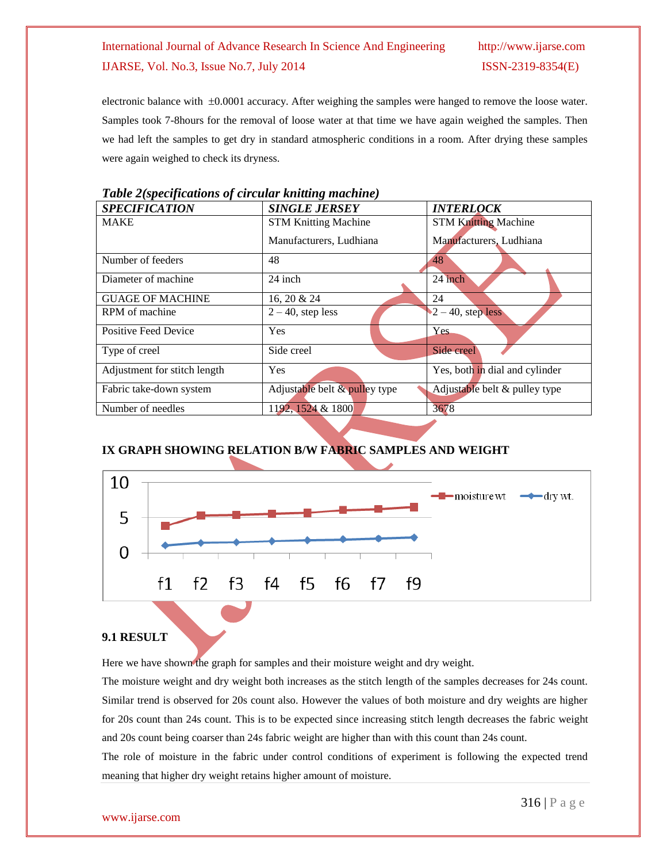electronic balance with  $\pm 0.0001$  accuracy. After weighing the samples were hanged to remove the loose water. Samples took 7-8hours for the removal of loose water at that time we have again weighed the samples. Then we had left the samples to get dry in standard atmospheric conditions in a room. After drying these samples were again weighed to check its dryness.

| <b>SPECIFICATION</b>         | <b>SINGLE JERSEY</b>          | <b>INTERLOCK</b>                        |  |  |
|------------------------------|-------------------------------|-----------------------------------------|--|--|
| <b>MAKE</b>                  | <b>STM Knitting Machine</b>   | <b>STM Knitting Machine</b>             |  |  |
|                              | Manufacturers, Ludhiana       | Manufacturers, Ludhiana                 |  |  |
| Number of feeders            | 48                            | 48                                      |  |  |
| Diameter of machine          | 24 inch                       | 24 inch                                 |  |  |
| <b>GUAGE OF MACHINE</b>      | 16, 20 & 24                   | 24                                      |  |  |
| RPM of machine               | $2 - 40$ , step less          | $\blacktriangleright$ 2 – 40, step less |  |  |
| Positive Feed Device         | Yes                           | <b>Yes</b>                              |  |  |
| Type of creel                | Side creel                    | Side creel                              |  |  |
| Adjustment for stitch length | Yes                           | Yes, both in dial and cylinder          |  |  |
| Fabric take-down system      | Adjustable belt & pulley type | Adjustable belt & pulley type           |  |  |
| Number of needles            | 1192, 1524 & 1800             | 3678                                    |  |  |

*Table 2(specifications of circular knitting machine)*

## **IX GRAPH SHOWING RELATION B/W FABRIC SAMPLES AND WEIGHT**



### **9.1 RESULT**

Here we have shown the graph for samples and their moisture weight and dry weight.

The moisture weight and dry weight both increases as the stitch length of the samples decreases for 24s count. Similar trend is observed for 20s count also. However the values of both moisture and dry weights are higher for 20s count than 24s count. This is to be expected since increasing stitch length decreases the fabric weight and 20s count being coarser than 24s fabric weight are higher than with this count than 24s count.

The role of moisture in the fabric under control conditions of experiment is following the expected trend meaning that higher dry weight retains higher amount of moisture.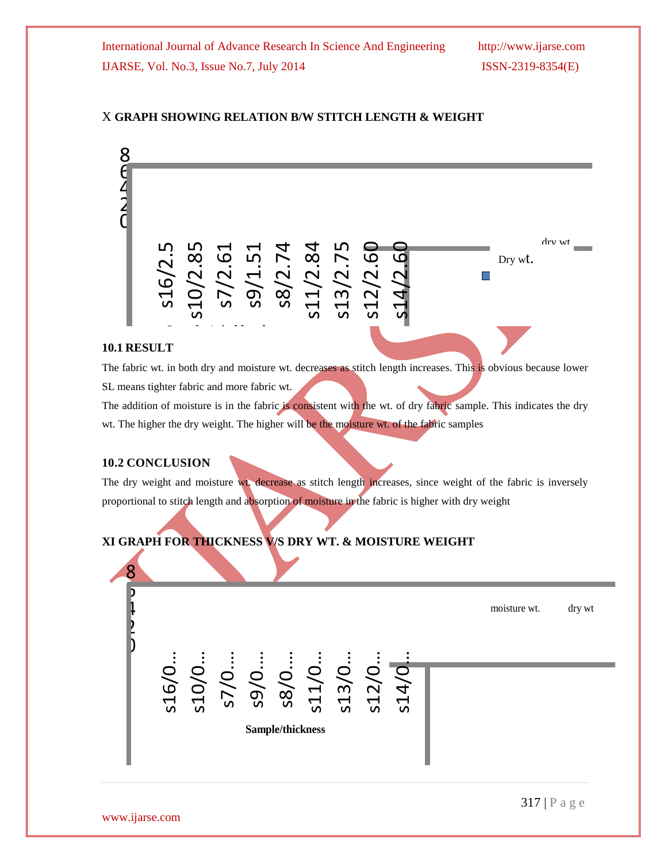## X **GRAPH SHOWING RELATION B/W STITCH LENGTH & WEIGHT**



## **10.1 RESULT**

The fabric wt. in both dry and moisture wt. decreases as stitch length increases. This is obvious because lower SL means tighter fabric and more fabric wt.

The addition of moisture is in the fabric is consistent with the wt. of dry fabric sample. This indicates the dry wt. The higher the dry weight. The higher will be the moisture wt. of the fabric samples

## **10.2 CONCLUSION**

The dry weight and moisture wt. decrease as stitch length increases, since weight of the fabric is inversely proportional to stitch length and absorption of moisture in the fabric is higher with dry weight

## **XI GRAPH FOR THICKNESS V/S DRY WT. & MOISTURE WEIGHT**